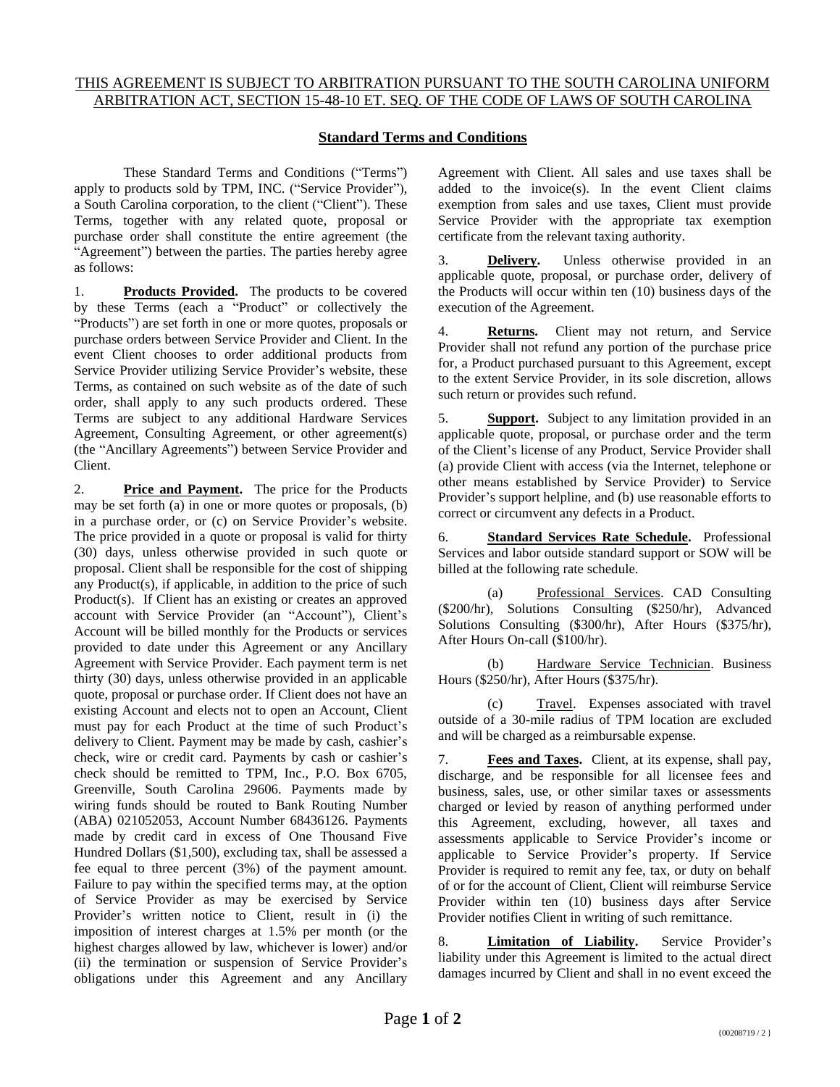## THIS AGREEMENT IS SUBJECT TO ARBITRATION PURSUANT TO THE SOUTH CAROLINA UNIFORM ARBITRATION ACT, SECTION 15-48-10 ET. SEQ. OF THE CODE OF LAWS OF SOUTH CAROLINA

## **Standard Terms and Conditions**

These Standard Terms and Conditions ("Terms") apply to products sold by TPM, INC. ("Service Provider"), a South Carolina corporation, to the client ("Client"). These Terms, together with any related quote, proposal or purchase order shall constitute the entire agreement (the "Agreement") between the parties. The parties hereby agree as follows:

1. **Products Provided.** The products to be covered by these Terms (each a "Product" or collectively the "Products") are set forth in one or more quotes, proposals or purchase orders between Service Provider and Client. In the event Client chooses to order additional products from Service Provider utilizing Service Provider's website, these Terms, as contained on such website as of the date of such order, shall apply to any such products ordered. These Terms are subject to any additional Hardware Services Agreement, Consulting Agreement, or other agreement(s) (the "Ancillary Agreements") between Service Provider and Client.

2. **Price and Payment.** The price for the Products may be set forth (a) in one or more quotes or proposals, (b) in a purchase order, or (c) on Service Provider's website. The price provided in a quote or proposal is valid for thirty (30) days, unless otherwise provided in such quote or proposal. Client shall be responsible for the cost of shipping any Product(s), if applicable, in addition to the price of such Product(s). If Client has an existing or creates an approved account with Service Provider (an "Account"), Client's Account will be billed monthly for the Products or services provided to date under this Agreement or any Ancillary Agreement with Service Provider. Each payment term is net thirty (30) days, unless otherwise provided in an applicable quote, proposal or purchase order. If Client does not have an existing Account and elects not to open an Account, Client must pay for each Product at the time of such Product's delivery to Client. Payment may be made by cash, cashier's check, wire or credit card. Payments by cash or cashier's check should be remitted to TPM, Inc., P.O. Box 6705, Greenville, South Carolina 29606. Payments made by wiring funds should be routed to Bank Routing Number (ABA) 021052053, Account Number 68436126. Payments made by credit card in excess of One Thousand Five Hundred Dollars (\$1,500), excluding tax, shall be assessed a fee equal to three percent (3%) of the payment amount. Failure to pay within the specified terms may, at the option of Service Provider as may be exercised by Service Provider's written notice to Client, result in (i) the imposition of interest charges at 1.5% per month (or the highest charges allowed by law, whichever is lower) and/or (ii) the termination or suspension of Service Provider's obligations under this Agreement and any Ancillary

Agreement with Client. All sales and use taxes shall be added to the invoice(s). In the event Client claims exemption from sales and use taxes, Client must provide Service Provider with the appropriate tax exemption certificate from the relevant taxing authority.

3. **Delivery.** Unless otherwise provided in an applicable quote, proposal, or purchase order, delivery of the Products will occur within ten (10) business days of the execution of the Agreement.

4. **Returns.** Client may not return, and Service Provider shall not refund any portion of the purchase price for, a Product purchased pursuant to this Agreement, except to the extent Service Provider, in its sole discretion, allows such return or provides such refund.

5. **Support.** Subject to any limitation provided in an applicable quote, proposal, or purchase order and the term of the Client's license of any Product, Service Provider shall (a) provide Client with access (via the Internet, telephone or other means established by Service Provider) to Service Provider's support helpline, and (b) use reasonable efforts to correct or circumvent any defects in a Product.

6. **Standard Services Rate Schedule.** Professional Services and labor outside standard support or SOW will be billed at the following rate schedule.

(a) Professional Services. CAD Consulting (\$200/hr), Solutions Consulting (\$250/hr), Advanced Solutions Consulting (\$300/hr), After Hours (\$375/hr), After Hours On-call (\$100/hr).

(b) Hardware Service Technician. Business Hours (\$250/hr), After Hours (\$375/hr).

(c) Travel. Expenses associated with travel outside of a 30-mile radius of TPM location are excluded and will be charged as a reimbursable expense.

7. **Fees and Taxes.** Client, at its expense, shall pay, discharge, and be responsible for all licensee fees and business, sales, use, or other similar taxes or assessments charged or levied by reason of anything performed under this Agreement, excluding, however, all taxes and assessments applicable to Service Provider's income or applicable to Service Provider's property. If Service Provider is required to remit any fee, tax, or duty on behalf of or for the account of Client, Client will reimburse Service Provider within ten (10) business days after Service Provider notifies Client in writing of such remittance.

8. **Limitation of Liability.** Service Provider's liability under this Agreement is limited to the actual direct damages incurred by Client and shall in no event exceed the